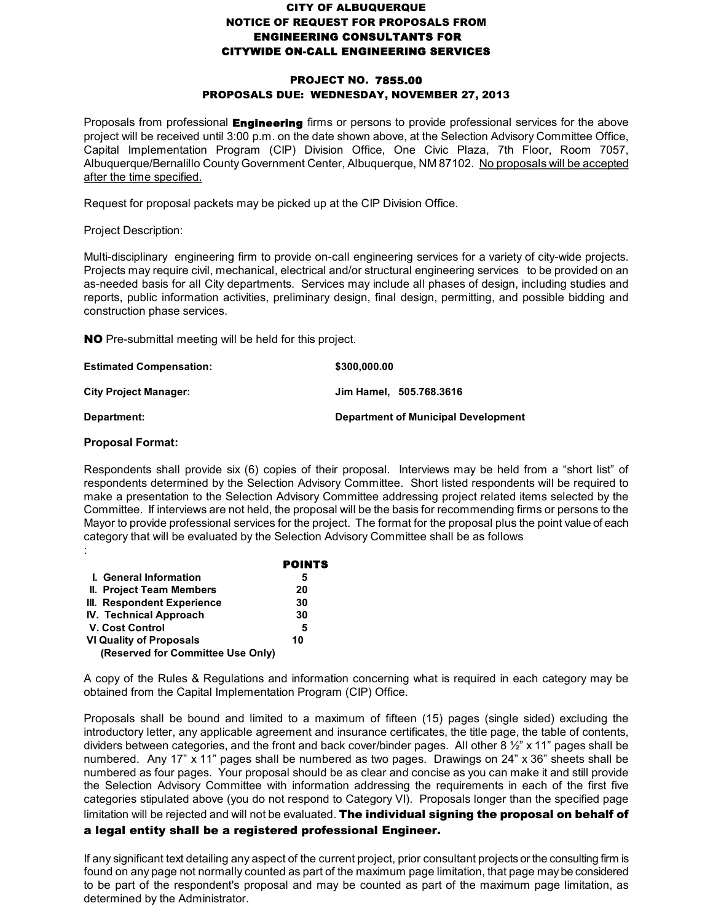## **CITY OF ALBUQUERQUE NOTICE OF REQUEST FOR PROPOSALS FROM ENGINEERING CONSULTANTS FOR CITYWIDE ON-CALL ENGINEERING SERVICES**

## **PROJECT NO. 7855.00 PROPOSALS DUE: WEDNESDAY, NOVEMBER 27, 2013**

Proposals from professional **Engineering** firms or persons to provide professional services for the above project will be received until 3:00 p.m. on the date shown above, at the Selection Advisory Committee Office, Capital Implementation Program (CIP) Division Office, One Civic Plaza, 7th Floor, Room 7057, Albuquerque/Bernalillo County Government Center, Albuquerque, NM 87102. No proposals will be accepted after the time specified.

Request for proposal packets may be picked up at the CIP Division Office.

Project Description:

Multi-disciplinary engineering firm to provide on-call engineering services for a variety of city-wide projects. Projects may require civil, mechanical, electrical and/or structural engineering services to be provided on an as-needed basis for all City departments. Services may include all phases of design, including studies and reports, public information activities, preliminary design, final design, permitting, and possible bidding and construction phase services.

**NO** Pre-submittal meeting will be held for this project.

| <b>Estimated Compensation:</b> | \$300,000.00                               |
|--------------------------------|--------------------------------------------|
| <b>City Project Manager:</b>   | Jim Hamel. 505.768.3616                    |
| Department:                    | <b>Department of Municipal Development</b> |

## **Proposal Format:**

Respondents shall provide six (6) copies of their proposal. Interviews may be held from a "short list" of respondents determined by the Selection Advisory Committee. Short listed respondents will be required to make a presentation to the Selection Advisory Committee addressing project related items selected by the Committee. If interviews are not held, the proposal will be the basis for recommending firms or persons to the Mayor to provide professional services for the project. The format for the proposal plus the point value of each category that will be evaluated by the Selection Advisory Committee shall be as follows :

|                                   | <b>POINTS</b> |
|-----------------------------------|---------------|
| I. General Information            | 5             |
| II. Project Team Members          | 20            |
| III. Respondent Experience        | 30            |
| <b>IV. Technical Approach</b>     | 30            |
| <b>V. Cost Control</b>            | 5             |
| VI Quality of Proposals           | 10            |
| (Reserved for Committee Use Only) |               |

A copy of the Rules & Regulations and information concerning what is required in each category may be obtained from the Capital Implementation Program (CIP) Office.

Proposals shall be bound and limited to a maximum of fifteen (15) pages (single sided) excluding the introductory letter, any applicable agreement and insurance certificates, the title page, the table of contents, dividers between categories, and the front and back cover/binder pages. All other 8 ½" x 11" pages shall be numbered. Any 17" x 11" pages shall be numbered as two pages. Drawings on 24" x 36" sheets shall be numbered as four pages. Your proposal should be as clear and concise as you can make it and still provide the Selection Advisory Committee with information addressing the requirements in each of the first five categories stipulated above (you do not respond to Category VI). Proposals longer than the specified page limitation will be rejected and will not be evaluated. **The individual signing the proposal on behalf of** 

## **a legal entity shall be a registered professional Engineer.**

If any significant text detailing any aspect of the current project, prior consultant projects or the consulting firm is found on any page not normally counted as part of the maximum page limitation, that page maybe considered to be part of the respondent's proposal and may be counted as part of the maximum page limitation, as determined by the Administrator.